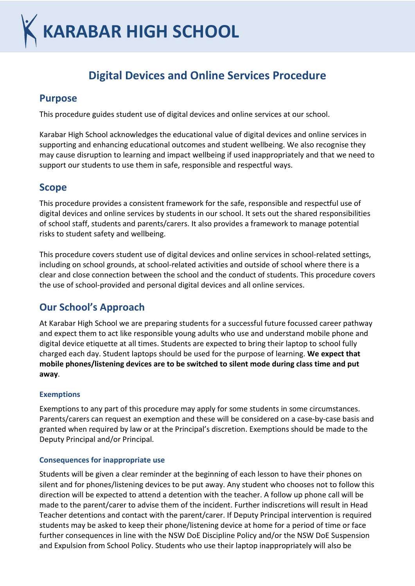# **KARABAR HIGH SCHOOL**

# **Digital Devices and Online Services Procedure**

## **Purpose**

This procedure guides student use of digital devices and online services at our school.

Karabar High School acknowledges the educational value of digital devices and online services in supporting and enhancing educational outcomes and student wellbeing. We also recognise they may cause disruption to learning and impact wellbeing if used inappropriately and that we need to support our students to use them in safe, responsible and respectful ways.

## **Scope**

This procedure provides a consistent framework for the safe, responsible and respectful use of digital devices and online services by students in our school. It sets out the shared responsibilities of school staff, students and parents/carers. It also provides a framework to manage potential risks to student safety and wellbeing.

This procedure covers student use of digital devices and online services in school-related settings, including on school grounds, at school-related activities and outside of school where there is a clear and close connection between the school and the conduct of students. This procedure covers the use of school-provided and personal digital devices and all online services.

## **Our School's Approach**

At Karabar High School we are preparing students for a successful future focussed career pathway and expect them to act like responsible young adults who use and understand mobile phone and digital device etiquette at all times. Students are expected to bring their laptop to school fully charged each day. Student laptops should be used for the purpose of learning. **We expect that mobile phones/listening devices are to be switched to silent mode during class time and put away**.

#### **Exemptions**

Exemptions to any part of this procedure may apply for some students in some circumstances. Parents/carers can request an exemption and these will be considered on a case-by-case basis and granted when required by law or at the Principal's discretion. Exemptions should be made to the Deputy Principal and/or Principal.

#### **Consequences for inappropriate use**

Students will be given a clear reminder at the beginning of each lesson to have their phones on silent and for phones/listening devices to be put away. Any student who chooses not to follow this direction will be expected to attend a detention with the teacher. A follow up phone call will be made to the parent/carer to advise them of the incident. Further indiscretions will result in Head Teacher detentions and contact with the parent/carer. If Deputy Principal intervention is required students may be asked to keep their phone/listening device at home for a period of time or face further consequences in line with the NSW DoE Discipline Policy and/or the NSW DoE Suspension and Expulsion from School Policy. Students who use their laptop inappropriately will also be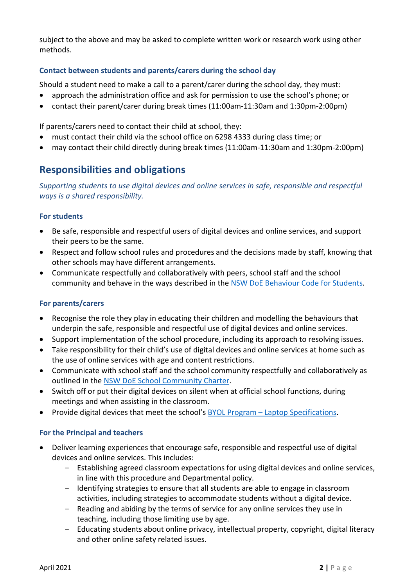subject to the above and may be asked to complete written work or research work using other methods.

#### **Contact between students and parents/carers during the school day**

Should a student need to make a call to a parent/carer during the school day, they must:

- approach the administration office and ask for permission to use the school's phone; or
- contact their parent/carer during break times (11:00am-11:30am and 1:30pm-2:00pm)

If parents/carers need to contact their child at school, they:

- must contact their child via the school office on 6298 4333 during class time; or
- may contact their child directly during break times (11:00am-11:30am and 1:30pm-2:00pm)

## **Responsibilities and obligations**

*Supporting students to use digital devices and online services in safe, responsible and respectful ways is a shared responsibility.*

#### **For students**

- Be safe, responsible and respectful users of digital devices and online services, and support their peers to be the same.
- Respect and follow school rules and procedures and the decisions made by staff, knowing that other schools may have different arrangements.
- Communicate respectfully and collaboratively with peers, school staff and the school community and behave in the ways described in the [NSW DoE Behaviour Code for Students.](https://education.nsw.gov.au/student-wellbeing/attendance-behaviour-and-engagement/student-behaviour/behaviour-code)

#### **For parents/carers**

- Recognise the role they play in educating their children and modelling the behaviours that underpin the safe, responsible and respectful use of digital devices and online services.
- Support implementation of the school procedure, including its approach to resolving issues.
- Take responsibility for their child's use of digital devices and online services at home such as the use of online services with age and content restrictions.
- Communicate with school staff and the school community respectfully and collaboratively as outlined in the [NSW DoE School Community Charter.](https://education.nsw.gov.au/content/dam/main-education/public-schools/going-to-a-public-school/media/documents/school-community-charter.pdf)
- Switch off or put their digital devices on silent when at official school functions, during meetings and when assisting in the classroom.
- Provide digital devices that meet the school's BYOL Program [Laptop Specifications.](https://www.karabarhigh.com.au/img.ashx?f=f&p=curriculum%2fbyol%2fBYOLSpecifications.pdf)

#### **For the Principal and teachers**

- Deliver learning experiences that encourage safe, responsible and respectful use of digital devices and online services. This includes:
	- Establishing agreed classroom expectations for using digital devices and online services, in line with this procedure and Departmental policy.
	- Identifying strategies to ensure that all students are able to engage in classroom activities, including strategies to accommodate students without a digital device.
	- Reading and abiding by the terms of service for any online services they use in teaching, including those limiting use by age.
	- Educating students about online privacy, intellectual property, copyright, digital literacy and other online safety related issues.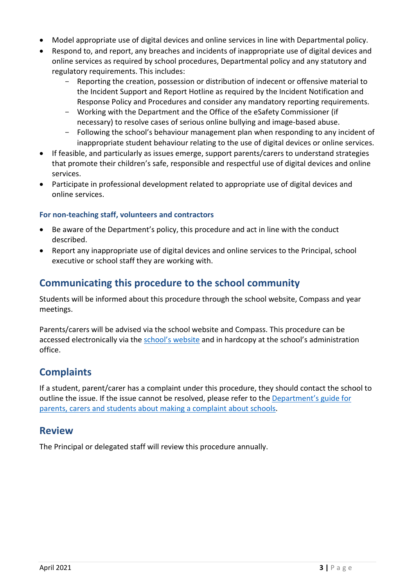- Model appropriate use of digital devices and online services in line with Departmental policy.
- Respond to, and report, any breaches and incidents of inappropriate use of digital devices and online services as required by school procedures, Departmental policy and any statutory and regulatory requirements. This includes:
	- Reporting the creation, possession or distribution of indecent or offensive material to the Incident Support and Report Hotline as required by the Incident Notification and Response Policy and Procedures and consider any mandatory reporting requirements.
	- Working with the Department and the Office of the eSafety Commissioner (if necessary) to resolve cases of serious online bullying and image-based abuse.
	- Following the school's behaviour management plan when responding to any incident of inappropriate student behaviour relating to the use of digital devices or online services.
- If feasible, and particularly as issues emerge, support parents/carers to understand strategies that promote their children's safe, responsible and respectful use of digital devices and online services.
- Participate in professional development related to appropriate use of digital devices and online services.

#### **For non-teaching staff, volunteers and contractors**

- Be aware of the Department's policy, this procedure and act in line with the conduct described.
- Report any inappropriate use of digital devices and online services to the Principal, school executive or school staff they are working with.

## **Communicating this procedure to the school community**

Students will be informed about this procedure through the school website, Compass and year meetings.

Parents/carers will be advised via the school website and Compass. This procedure can be accessed electronically via the [school's website](https://www.karabarhigh.com.au/img.ashx?f=f&p=student_parent_resources%2fKHS+Digital+Devices+and+Online+Services+Procedure.pdf) and in hardcopy at the school's administration office.

## **Complaints**

If a student, parent/carer has a complaint under this procedure, they should contact the school to outline the issue. If the issue cannot be resolved, please refer to the [Department's guide for](https://education.nsw.gov.au/about-us/rights-and-accountability/complaints-compliments-and-suggestions/guide-for-parents-carers-and-students)  [parents, carers and students about making a complaint about schools.](https://education.nsw.gov.au/about-us/rights-and-accountability/complaints-compliments-and-suggestions/guide-for-parents-carers-and-students)

### **Review**

The Principal or delegated staff will review this procedure annually.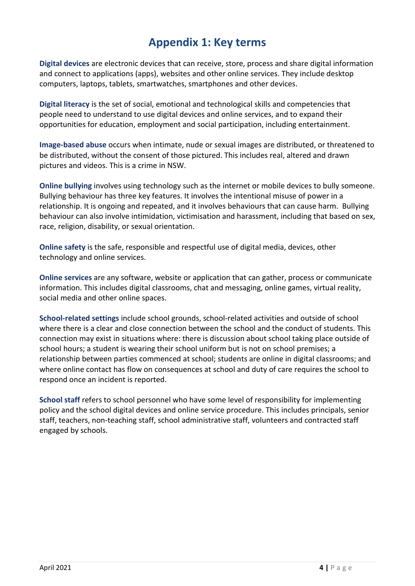## **Appendix 1: Key terms**

**Digital devices** are electronic devices that can receive, store, process and share digital information and connect to applications (apps), websites and other online services. They include desktop computers, laptops, tablets, smartwatches, smartphones and other devices.

**Digital literacy** is the set of social, emotional and technological skills and competencies that people need to understand to use digital devices and online services, and to expand their opportunities for education, employment and social participation, including entertainment.

**Image-based abuse** occurs when intimate, nude or sexual images are distributed, or threatened to be distributed, without the consent of those pictured. This includes real, altered and drawn pictures and videos. This is a crime in NSW.

**Online bullying** involves using technology such as the internet or mobile devices to bully someone. Bullying behaviour has three key features. It involves the intentional misuse of power in a relationship. It is ongoing and repeated, and it involves behaviours that can cause harm. Bullying behaviour can also involve intimidation, victimisation and harassment, including that based on sex, race, religion, disability, or sexual orientation.

**Online safety** is the safe, responsible and respectful use of digital media, devices, other technology and online services.

**Online services** are any software, website or application that can gather, process or communicate information. This includes digital classrooms, chat and messaging, online games, virtual reality, social media and other online spaces.

**School-related settings** include school grounds, school-related activities and outside of school where there is a clear and close connection between the school and the conduct of students. This connection may exist in situations where: there is discussion about school taking place outside of school hours; a student is wearing their school uniform but is not on school premises; a relationship between parties commenced at school; students are online in digital classrooms; and where online contact has flow on consequences at school and duty of care requires the school to respond once an incident is reported.

**School staff** refers to school personnel who have some level of responsibility for implementing policy and the school digital devices and online service procedure. This includes principals, senior staff, teachers, non-teaching staff, school administrative staff, volunteers and contracted staff engaged by schools.